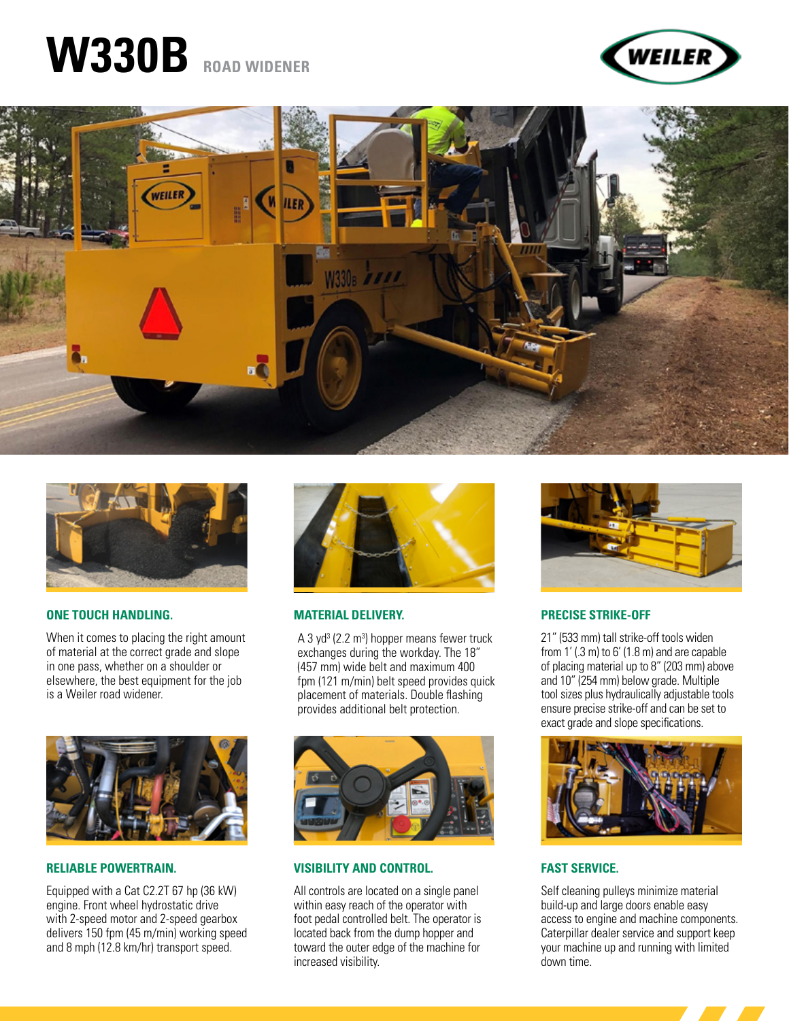# **W330B ROAD WIDENER**







#### **ONE TOUCH HANDLING.**

When it comes to placing the right amount of material at the correct grade and slope in one pass, whether on a shoulder or elsewhere, the best equipment for the job is a Weiler road widener.



#### **RELIABLE POWERTRAIN.**

Equipped with a Cat C2.2T 67 hp (36 kW) engine. Front wheel hydrostatic drive with 2-speed motor and 2-speed gearbox delivers 150 fpm (45 m/min) working speed and 8 mph (12.8 km/hr) transport speed.



#### **MATERIAL DELIVERY.**

A 3 yd<sup>3</sup> (2.2 m<sup>3</sup>) hopper means fewer truck exchanges during the workday. The 18" (457 mm) wide belt and maximum 400 fpm (121 m/min) belt speed provides quick placement of materials. Double flashing provides additional belt protection.



#### **VISIBILITY AND CONTROL.**

All controls are located on a single panel within easy reach of the operator with foot pedal controlled belt. The operator is located back from the dump hopper and toward the outer edge of the machine for increased visibility.



#### **PRECISE STRIKE-OFF**

21" (533 mm) tall strike-off tools widen from 1' (.3 m) to 6' (1.8 m) and are capable of placing material up to 8" (203 mm) above and 10" (254 mm) below grade. Multiple tool sizes plus hydraulically adjustable tools ensure precise strike-off and can be set to exact grade and slope specifications.



#### **FAST SERVICE.**

Self cleaning pulleys minimize material build-up and large doors enable easy access to engine and machine components. Caterpillar dealer service and support keep your machine up and running with limited down time.

<u> Tanzania de la provincia de la provincia de la provincia de la provincia de la provincia de la provincia de la </u>